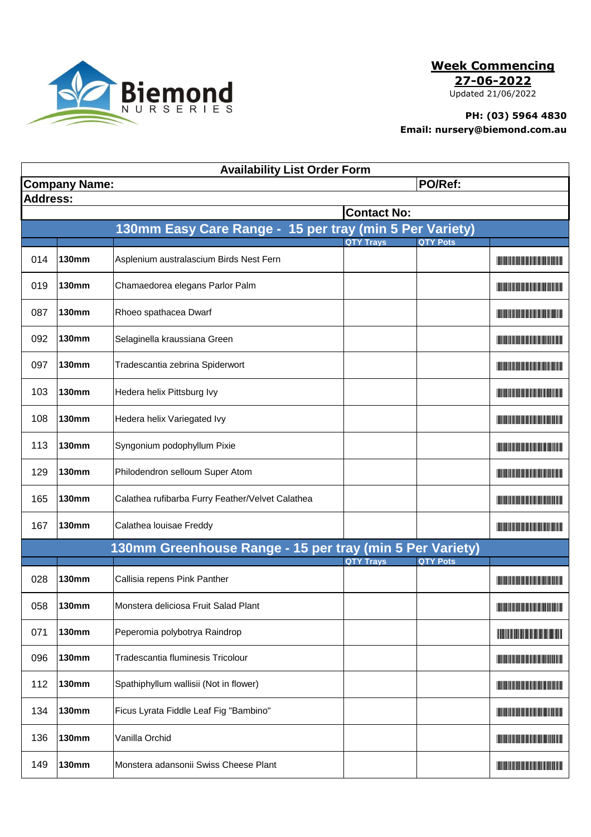

**Week Commencing**

**27-06-2022**

Updated 21/06/2022

## **PH: (03) 5964 4830 Email: nursery@biemond.com.au**

| <b>Availability List Order Form</b> |                                 |                                                          |                  |                 |                                                                                                                                                                                                                                      |  |  |  |  |
|-------------------------------------|---------------------------------|----------------------------------------------------------|------------------|-----------------|--------------------------------------------------------------------------------------------------------------------------------------------------------------------------------------------------------------------------------------|--|--|--|--|
|                                     | PO/Ref:<br><b>Company Name:</b> |                                                          |                  |                 |                                                                                                                                                                                                                                      |  |  |  |  |
| <b>Address:</b>                     |                                 |                                                          |                  |                 |                                                                                                                                                                                                                                      |  |  |  |  |
| <b>Contact No:</b>                  |                                 |                                                          |                  |                 |                                                                                                                                                                                                                                      |  |  |  |  |
|                                     |                                 | 130mm Easy Care Range - 15 per tray (min 5 Per Variety)  |                  |                 |                                                                                                                                                                                                                                      |  |  |  |  |
|                                     |                                 |                                                          | <b>QTY Trays</b> | <b>QTY Pots</b> |                                                                                                                                                                                                                                      |  |  |  |  |
| 014                                 | <b>130mm</b>                    | Asplenium australascium Birds Nest Fern                  |                  |                 | <u> The Community of the Community of the Community of the Community of the Community of the Community of the Community of the Community of the Community of the Community of the Community of the Community of the Community of</u> |  |  |  |  |
| 019                                 | <b>130mm</b>                    | Chamaedorea elegans Parlor Palm                          |                  |                 | <u> Harry Harry Harry Harry Harry Harry Harry Harry Harry Harry Harry Harry Harry Harry Harry Harry Harry Harry Harry Harry Harry Harry Harry Harry Harry Harry Harry Harry Harry Harry Harry Harry Harry Harry Harry Harry Harr</u> |  |  |  |  |
| 087                                 | <b>130mm</b>                    | Rhoeo spathacea Dwarf                                    |                  |                 | <u> Harry Harry Harry Harry Harry Harry Harry Harry Harry Harry Harry Harry Harry Harry Harry Harry Harry Harry H</u>                                                                                                                |  |  |  |  |
| 092                                 | <b>130mm</b>                    | Selaginella kraussiana Green                             |                  |                 | <u> Harry Harry Harry Harry Harry Harry Harry Harry Harry Harry Harry Harry Harry Harry Harry Harry Harry Harry Harry Harry Harry Harry Harry Harry Harry Harry Harry Harry Harry Harry Harry Harry Harry Harry Harry Harry Harr</u> |  |  |  |  |
| 097                                 | <b>130mm</b>                    | Tradescantia zebrina Spiderwort                          |                  |                 | <u> Tanzania (Barat III) di Barat III di Barat III di Barat III di Barat III di Barat III di Barat III di Barat II</u>                                                                                                               |  |  |  |  |
| 103                                 | <b>130mm</b>                    | Hedera helix Pittsburg Ivy                               |                  |                 |                                                                                                                                                                                                                                      |  |  |  |  |
| 108                                 | <b>130mm</b>                    | Hedera helix Variegated Ivy                              |                  |                 | <u> Harrison (Barbara) et al. E</u>                                                                                                                                                                                                  |  |  |  |  |
| 113                                 | <b>130mm</b>                    | Syngonium podophyllum Pixie                              |                  |                 | <b>The Community of the Community</b>                                                                                                                                                                                                |  |  |  |  |
| 129                                 | <b>130mm</b>                    | Philodendron selloum Super Atom                          |                  |                 | <u> The Community of the Community of the Community of the Community of the Community of the Community of the Community of the Community of the Community of the Community of the Community of the Community of the Community of</u> |  |  |  |  |
| 165                                 | <b>130mm</b>                    | Calathea rufibarba Furry Feather/Velvet Calathea         |                  |                 | <u> Liberaldo de la contrada de la con</u>                                                                                                                                                                                           |  |  |  |  |
| 167                                 | <b>130mm</b>                    | Calathea Iouisae Freddy                                  |                  |                 | <u> Herbert Herbert in der Erste der Erste der Erste der Erste der Erste der Erste der Erste der Erste der Erste </u>                                                                                                                |  |  |  |  |
|                                     |                                 | 130mm Greenhouse Range - 15 per tray (min 5 Per Variety) |                  |                 |                                                                                                                                                                                                                                      |  |  |  |  |
|                                     |                                 |                                                          | <b>QTY Trays</b> | <b>QTY Pots</b> |                                                                                                                                                                                                                                      |  |  |  |  |
| 028                                 | <b>130mm</b>                    | Callisia repens Pink Panther                             |                  |                 | <u> Antonio Maria de Antonio de Antonio de </u>                                                                                                                                                                                      |  |  |  |  |
| 058                                 | <b>130mm</b>                    | Monstera deliciosa Fruit Salad Plant                     |                  |                 | <u> The Community of the Community of the Community of the Community of the Community of the Community of the Community of the Community of the Community of the Community of the Community of the Community of the Community of</u> |  |  |  |  |
| 071                                 | <b>130mm</b>                    | Peperomia polybotrya Raindrop                            |                  |                 | <b>The Community of the Community</b>                                                                                                                                                                                                |  |  |  |  |
| 096                                 | <b>130mm</b>                    | <b>Tradescantia fluminesis Tricolour</b>                 |                  |                 |                                                                                                                                                                                                                                      |  |  |  |  |
| 112                                 | <b>130mm</b>                    | Spathiphyllum wallisii (Not in flower)                   |                  |                 | <u> Harris Harris III (1989)</u>                                                                                                                                                                                                     |  |  |  |  |
| 134                                 | <b>130mm</b>                    | Ficus Lyrata Fiddle Leaf Fig "Bambino"                   |                  |                 | <u> Liberal Maria Maria Maria Maria Maria Maria Maria Maria Maria Maria Maria Maria Maria Maria Maria Maria Maria </u>                                                                                                               |  |  |  |  |
| 136                                 | <b>130mm</b>                    | Vanilla Orchid                                           |                  |                 |                                                                                                                                                                                                                                      |  |  |  |  |
| 149                                 | <b>130mm</b>                    | Monstera adansonii Swiss Cheese Plant                    |                  |                 | <u> Harry Harry Harry Harry Harry Harry Harry Harry Harry Harry Harry Harry Harry Harry Harry Harry Harry Harry Harry Harry Harry Harry Harry Harry Harry Harry Harry Harry Harry Harry Harry Harry Harry Harry Harry Harry Harr</u> |  |  |  |  |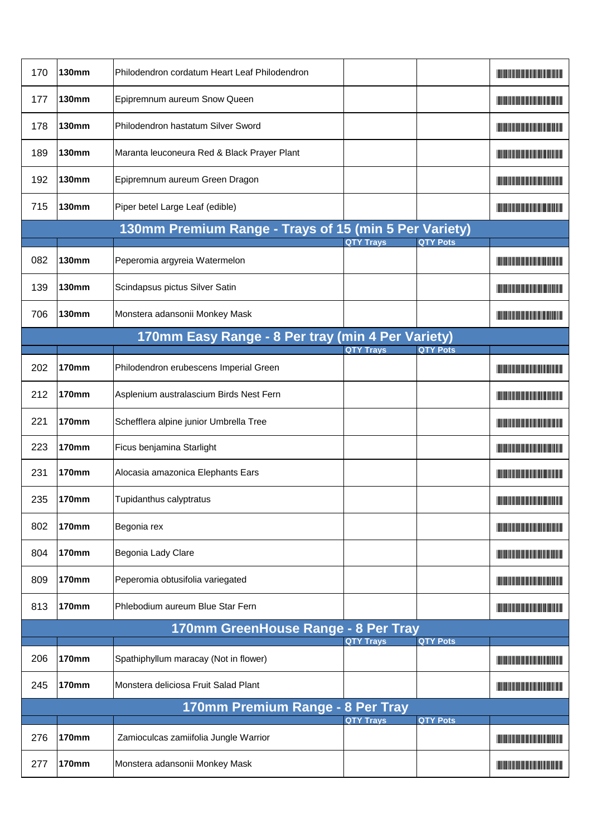| 170                              | <b>130mm</b> | Philodendron cordatum Heart Leaf Philodendron         |                  |                 | <u> Literatur i svenske postale</u>                                                                                                                                                                                                  |  |
|----------------------------------|--------------|-------------------------------------------------------|------------------|-----------------|--------------------------------------------------------------------------------------------------------------------------------------------------------------------------------------------------------------------------------------|--|
| 177                              | <b>130mm</b> | Epipremnum aureum Snow Queen                          |                  |                 | <u> Liberal Maria Maria Maria Maria Maria Maria Maria Maria Maria Maria Maria Maria Maria Maria Maria Maria Maria </u>                                                                                                               |  |
| 178                              | <b>130mm</b> | Philodendron hastatum Silver Sword                    |                  |                 |                                                                                                                                                                                                                                      |  |
| 189                              | <b>130mm</b> | Maranta leuconeura Red & Black Prayer Plant           |                  |                 | <u> Liberaldo de la contrada de la con</u>                                                                                                                                                                                           |  |
| 192                              | <b>130mm</b> | Epipremnum aureum Green Dragon                        |                  |                 | <u> Harry Harry Harry Harry Harry Harry Harry Harry Harry Harry Harry Harry Harry Harry Harry Harry Harry Harry Harry Harry Harry Harry Harry Harry Harry Harry Harry Harry Harry Harry Harry Harry Harry Harry Harry Harry Harr</u> |  |
| 715                              | <b>130mm</b> | Piper betel Large Leaf (edible)                       |                  |                 | <u> Herbert Herbert i Start i Start i Start i Start i Start i Start i Start i Start i Start i Start i Start i Star</u>                                                                                                               |  |
|                                  |              | 130mm Premium Range - Trays of 15 (min 5 Per Variety) | <b>QTY Trays</b> | <b>QTY Pots</b> |                                                                                                                                                                                                                                      |  |
| 082                              | <b>130mm</b> | Peperomia argyreia Watermelon                         |                  |                 | <u> Liberaldo de la contrada de la con</u>                                                                                                                                                                                           |  |
| 139                              | <b>130mm</b> | Scindapsus pictus Silver Satin                        |                  |                 | <u> Lithagan ang pangangan ng Pangangan ang panggangan ang pangganggan ang pangganggang pangganggang pangganggang panggang panggang panggang panggang panggang panggang panggang panggang panggang panggang panggang panggang pa</u> |  |
| 706                              | <b>130mm</b> | Monstera adansonii Monkey Mask                        |                  |                 |                                                                                                                                                                                                                                      |  |
|                                  |              | 170mm Easy Range - 8 Per tray (min 4 Per Variety)     |                  |                 |                                                                                                                                                                                                                                      |  |
|                                  |              |                                                       | <b>QTY Trays</b> | <b>QTY Pots</b> |                                                                                                                                                                                                                                      |  |
| 202                              | <b>170mm</b> | Philodendron erubescens Imperial Green                |                  |                 | <u> Linda ka masa sa kasang mga kalendari ng mga kalendari ng mga kalendari ng mga kalendari ng mga kalendari ng </u>                                                                                                                |  |
| 212                              | <b>170mm</b> | Asplenium australascium Birds Nest Fern               |                  |                 | <u> Tanzania (h. 1888).</u>                                                                                                                                                                                                          |  |
| 221                              | 170mm        | Schefflera alpine junior Umbrella Tree                |                  |                 | <u> Harris Harris III (1989)</u>                                                                                                                                                                                                     |  |
| 223                              | <b>170mm</b> | Ficus benjamina Starlight                             |                  |                 | <u> Liberaldo de la contrada de la con</u>                                                                                                                                                                                           |  |
| 231                              | <b>170mm</b> | Alocasia amazonica Elephants Ears                     |                  |                 | <u> Harry Harry Harry Harry Harry Harry Harry Harry Harry Harry Harry Harry Harry Harry Harry Harry Harry Harry Harry Harry Harry Harry Harry Harry Harry Harry Harry Harry Harry Harry Harry Harry Harry Harry Harry Harry Harr</u> |  |
| 235                              | 170mm        | Tupidanthus calyptratus                               |                  |                 | <u> Liberal Maria de la contrada de la con</u>                                                                                                                                                                                       |  |
| 802                              | <b>170mm</b> | Begonia rex                                           |                  |                 | <u> Harry Harry Harry Harry Harry Harry Harry Harry Harry Harry Harry Harry Harry Harry Harry Harry Harry Harry Harry Harry Harry Harry Harry Harry Harry Harry Harry Harry Harry Harry Harry Harry Harry Harry Harry Harry Harr</u> |  |
| 804                              | <b>170mm</b> | Begonia Lady Clare                                    |                  |                 | <u> Tanzania (1989)</u>                                                                                                                                                                                                              |  |
| 809                              | <b>170mm</b> | Peperomia obtusifolia variegated                      |                  |                 |                                                                                                                                                                                                                                      |  |
| 813                              | <b>170mm</b> | Phlebodium aureum Blue Star Fern                      |                  |                 | <u> Literatura de la contrada de la con</u>                                                                                                                                                                                          |  |
|                                  |              | 170mm GreenHouse Range - 8 Per Tray                   | <b>QTY Trays</b> | <b>QTY Pots</b> |                                                                                                                                                                                                                                      |  |
| 206                              | <b>170mm</b> | Spathiphyllum maracay (Not in flower)                 |                  |                 | <u> Tanzania (h. 1888).</u>                                                                                                                                                                                                          |  |
| 245                              | <b>170mm</b> | Monstera deliciosa Fruit Salad Plant                  |                  |                 | <u> Harry Harry Harry Harry Harry Harry Harry Harry Harry Harry Harry Harry Harry Harry Harry Harry Harry Harry Harry Harry Harry Harry Harry Harry Harry Harry Harry Harry Harry Harry Harry Harry Harry Harry Harry Harry Harr</u> |  |
| 170mm Premium Range - 8 Per Tray |              |                                                       |                  |                 |                                                                                                                                                                                                                                      |  |
| 276                              | <b>170mm</b> | Zamioculcas zamiifolia Jungle Warrior                 | <b>QTY Trays</b> | <b>QTY Pots</b> | <u> Tanzania (h. 1888).</u>                                                                                                                                                                                                          |  |
| 277                              | <b>170mm</b> | Monstera adansonii Monkey Mask                        |                  |                 | <b>The Community of the Community</b>                                                                                                                                                                                                |  |